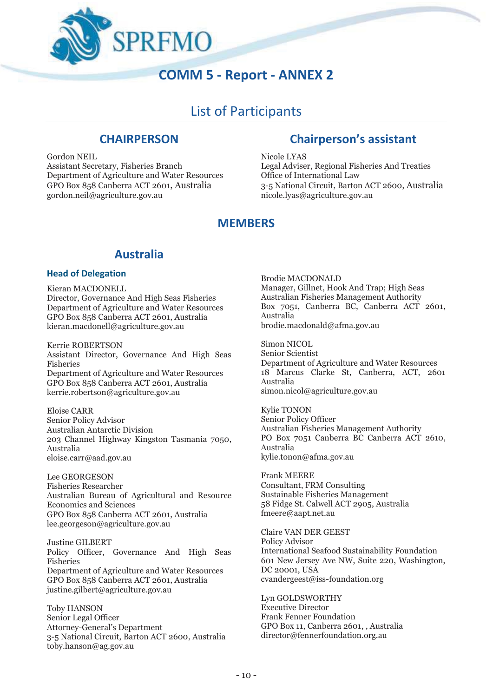

# **COMM 5 - Report - ANNEX 2**

# List of Participants

### **CHAIRPERSON**

Gordon NEIL Assistant Secretary, Fisheries Branch Department of Agriculture and Water Resources GPO Box 858 Canberra ACT 2601, Australia gordon.neil@agriculture.gov.au

## **Chairperson's assistant**

Nicole LYAS Legal Adviser, Regional Fisheries And Treaties Office of International Law 3-5 National Circuit, Barton ACT 2600, Australia nicole.lyas@agriculture.gov.au

### **MEMBERS**

## **Australia**

#### **Head of Delegation**

Kieran MACDONELL Director, Governance And High Seas Fisheries Department of Agriculture and Water Resources GPO Box 858 Canberra ACT 2601, Australia kieran.macdonell@agriculture.gov.au

Kerrie ROBERTSON Assistant Director, Governance And High Seas Fisheries Department of Agriculture and Water Resources GPO Box 858 Canberra ACT 2601, Australia kerrie.robertson@agriculture.gov.au

Eloise CARR Senior Policy Advisor Australian Antarctic Division 203 Channel Highway Kingston Tasmania 7050, Australia eloise.carr@aad.gov.au

Lee GEORGESON Fisheries Researcher Australian Bureau of Agricultural and Resource Economics and Sciences GPO Box 858 Canberra ACT 2601, Australia lee.georgeson@agriculture.gov.au

Justine GILBERT Policy Officer, Governance And High Seas Fisheries Department of Agriculture and Water Resources GPO Box 858 Canberra ACT 2601, Australia justine.gilbert@agriculture.gov.au

Toby HANSON Senior Legal Officer Attorney-General's Department 3-5 National Circuit, Barton ACT 2600, Australia toby.hanson@ag.gov.au

Brodie MACDONALD Manager, Gillnet, Hook And Trap; High Seas Australian Fisheries Management Authority Box 7051, Canberra BC, Canberra ACT 2601, Australia brodie.macdonald@afma.gov.au

Simon NICOL Senior Scientist Department of Agriculture and Water Resources 18 Marcus Clarke St, Canberra, ACT, 2601 Australia simon.nicol@agriculture.gov.au

Kylie TONON Senior Policy Officer Australian Fisheries Management Authority PO Box 7051 Canberra BC Canberra ACT 2610, Australia kylie.tonon@afma.gov.au

Frank MEERE Consultant, FRM Consulting Sustainable Fisheries Management 58 Fidge St. Calwell ACT 2905, Australia fmeere@aapt.net.au

Claire VAN DER GEEST Policy Advisor International Seafood Sustainability Foundation 601 New Jersey Ave NW, Suite 220, Washington, DC 20001, USA cvandergeest@iss-foundation.org

Lyn GOLDSWORTHY Executive Director Frank Fenner Foundation GPO Box 11, Canberra 2601, , Australia director@fennerfoundation.org.au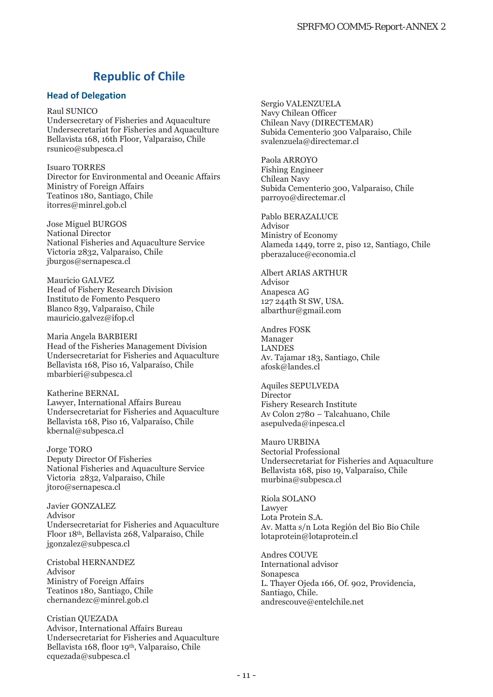# **Republic of Chile**

#### **Head of Delegation**

Raul SUNICO Undersecretary of Fisheries and Aquaculture Undersecretariat for Fisheries and Aquaculture Bellavista 168, 16th Floor, Valparaiso, Chile rsunico@subpesca.cl

Isuaro TORRES Director for Environmental and Oceanic Affairs Ministry of Foreign Affairs Teatinos 180, Santiago, Chile itorres@minrel.gob.cl

Jose Miguel BURGOS National Director National Fisheries and Aquaculture Service Victoria 2832, Valparaiso, Chile jburgos@sernapesca.cl

Mauricio GALVEZ Head of Fishery Research Division Instituto de Fomento Pesquero Blanco 839, Valparaiso, Chile mauricio.galvez@ifop.cl

Maria Angela BARBIERI Head of the Fisheries Management Division Undersecretariat for Fisheries and Aquaculture Bellavista 168, Piso 16, Valparaíso, Chile mbarbieri@subpesca.cl

Katherine BERNAL Lawyer, International Affairs Bureau Undersecretariat for Fisheries and Aquaculture Bellavista 168, Piso 16, Valparaíso, Chile kbernal@subpesca.cl

Jorge TORO Deputy Director Of Fisheries National Fisheries and Aquaculture Service Victoria 2832, Valparaiso, Chile jtoro@sernapesca.cl

Javier GONZALEZ Advisor Undersecretariat for Fisheries and Aquaculture Floor 18th, Bellavista 268, Valparaiso, Chile jgonzalez@subpesca.cl

Cristobal HERNANDEZ Advisor Ministry of Foreign Affairs Teatinos 180, Santiago, Chile chernandezc@minrel.gob.cl

Cristian QUEZADA Advisor, International Affairs Bureau Undersecretariat for Fisheries and Aquaculture Bellavista 168, floor 19th, Valparaiso, Chile cquezada@subpesca.cl

Sergio VALENZUELA Navy Chilean Officer Chilean Navy (DIRECTEMAR) Subida Cementerio 300 Valparaiso, Chile svalenzuela@directemar.cl

Paola ARROYO Fishing Engineer Chilean Navy Subida Cementerio 300, Valparaiso, Chile parroyo@directemar.cl

Pablo BERAZALUCE Advisor Ministry of Economy Alameda 1449, torre 2, piso 12, Santiago, Chile pberazaluce@economia.cl

Albert ARIAS ARTHUR Advisor Anapesca AG 127 244th St SW, USA. albarthur@gmail.com

Andres FOSK Manager LANDES Av. Tajamar 183, Santiago, Chile afosk@landes.cl

Aquiles SEPULVEDA **Director** Fishery Research Institute Av Colon 2780 – Talcahuano, Chile asepulveda@inpesca.cl

Mauro URBINA Sectorial Professional Undersecretariat for Fisheries and Aquaculture Bellavista 168, piso 19, Valparaíso, Chile murbina@subpesca.cl

Riola SOLANO Lawyer Lota Protein S.A. Av. Matta s/n Lota Región del Bio Bio Chile lotaprotein@lotaprotein.cl

Andres COUVE International advisor Sonapesca L. Thayer Ojeda 166, Of. 902, Providencia, Santiago, Chile. andrescouve@entelchile.net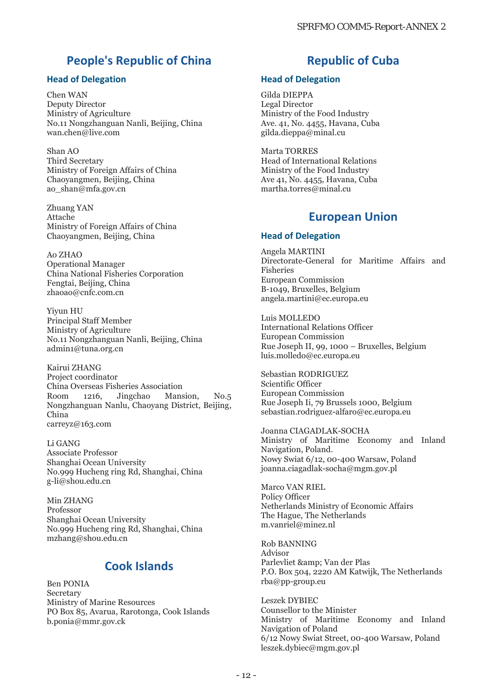# **People's Republic of China**

#### **Head of Delegation**

Chen WAN Deputy Director Ministry of Agriculture No.11 Nongzhanguan Nanli, Beijing, China wan.chen@live.com

Shan AO Third Secretary Ministry of Foreign Affairs of China Chaoyangmen, Beijing, China ao\_shan@mfa.gov.cn

Zhuang YAN Attache Ministry of Foreign Affairs of China Chaoyangmen, Beijing, China

#### Ao ZHAO

Operational Manager China National Fisheries Corporation Fengtai, Beijing, China zhaoao@cnfc.com.cn

Yiyun HU Principal Staff Member Ministry of Agriculture No.11 Nongzhanguan Nanli, Beijing, China admin1@tuna.org.cn

Kairui ZHANG Project coordinator China Overseas Fisheries Association Room 1216, Jingchao Mansion, No.5 Nongzhanguan Nanlu, Chaoyang District, Beijing, China carreyz@163.com

Li GANG Associate Professor Shanghai Ocean University No.999 Hucheng ring Rd, Shanghai, China g-li@shou.edu.cn

Min ZHANG Professor Shanghai Ocean University No.999 Hucheng ring Rd, Shanghai, China mzhang@shou.edu.cn

### **Cook Islands**

Ben PONIA Secretary Ministry of Marine Resources PO Box 85, Avarua, Rarotonga, Cook Islands b.ponia@mmr.gov.ck

## **Republic of Cuba**

#### **Head of Delegation**

Gilda DIEPPA Legal Director Ministry of the Food Industry Ave. 41, No. 4455, Havana, Cuba gilda.dieppa@minal.cu

Marta TORRES Head of International Relations Ministry of the Food Industry Ave 41, No. 4455, Havana, Cuba martha.torres@minal.cu

### **European Union**

#### **Head of Delegation**

Angela MARTINI Directorate-General for Maritime Affairs and Fisheries European Commission B-1049, Bruxelles, Belgium angela.martini@ec.europa.eu

Luis MOLLEDO International Relations Officer European Commission Rue Joseph II, 99, 1000 – Bruxelles, Belgium luis.molledo@ec.europa.eu

Sebastian RODRIGUEZ Scientific Officer European Commission Rue Joseph Ii, 79 Brussels 1000, Belgium sebastian.rodriguez-alfaro@ec.europa.eu

Joanna CIAGADLAK-SOCHA Ministry of Maritime Economy and Inland Navigation, Poland. Nowy Swiat 6/12, 00-400 Warsaw, Poland joanna.ciagadlak-socha@mgm.gov.pl

Marco VAN RIEL Policy Officer Netherlands Ministry of Economic Affairs The Hague, The Netherlands m.vanriel@minez.nl

Rob BANNING Advisor Parlevliet & amp; Van der Plas P.O. Box 504, 2220 AM Katwijk, The Netherlands rba@pp-group.eu

Leszek DYBIEC Counsellor to the Minister Ministry of Maritime Economy and Inland Navigation of Poland 6/12 Nowy Swiat Street, 00-400 Warsaw, Poland leszek.dybiec@mgm.gov.pl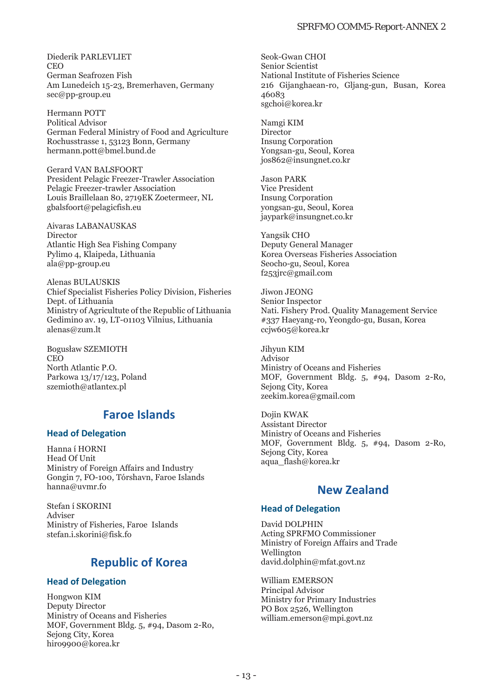Diederik PARLEVLIET **CEO** German Seafrozen Fish Am Lunedeich 15-23, Bremerhaven, Germany sec@pp-group.eu

Hermann POTT Political Advisor German Federal Ministry of Food and Agriculture Rochusstrasse 1, 53123 Bonn, Germany hermann.pott@bmel.bund.de

Gerard VAN BALSFOORT President Pelagic Freezer-Trawler Association Pelagic Freezer-trawler Association Louis Braillelaan 80, 2719EK Zoetermeer, NL gbalsfoort@pelagicfish.eu

Aivaras LABANAUSKAS Director Atlantic High Sea Fishing Company Pylimo 4, Klaipeda, Lithuania ala@pp-group.eu

Alenas BULAUSKIS Chief Specialist Fisheries Policy Division, Fisheries Dept. of Lithuania Ministry of Agricultute of the Republic of Lithuania Gedimino av. 19, LT-01103 Vilnius, Lithuania alenas@zum.lt

Bogusław SZEMIOTH CEO North Atlantic P.O. Parkowa 13/17/123, Poland szemioth@atlantex.pl

### **Faroe Islands**

#### **Head of Delegation**

Hanna í HORNI Head Of Unit Ministry of Foreign Affairs and Industry Gongin 7, FO-100, Tórshavn, Faroe Islands hanna@uvmr.fo

Stefan í SKORINI Adviser Ministry of Fisheries, Faroe Islands stefan.i.skorini@fisk.fo

### **Republic of Korea**

#### **Head of Delegation**

Hongwon KIM Deputy Director Ministry of Oceans and Fisheries MOF, Government Bldg. 5, #94, Dasom 2-Ro, Sejong City, Korea hiro9900@korea.kr

Seok-Gwan CHOI Senior Scientist National Institute of Fisheries Science 216 Gijanghaean-ro, Gljang-gun, Busan, Korea 46083 sgchoi@korea.kr

Namgi KIM Director Insung Corporation Yongsan-gu, Seoul, Korea jos862@insungnet.co.kr

Jason PARK Vice President Insung Corporation yongsan-gu, Seoul, Korea jaypark@insungnet.co.kr

Yangsik CHO Deputy General Manager Korea Overseas Fisheries Association Seocho-gu, Seoul, Korea f253jrc@gmail.com

Jiwon JEONG Senior Inspector Nati. Fishery Prod. Quality Management Service #337 Haeyang-ro, Yeongdo-gu, Busan, Korea ccjw605@korea.kr

Jihyun KIM Advisor Ministry of Oceans and Fisheries MOF, Government Bldg. 5, #94, Dasom 2-Ro, Sejong City, Korea zeekim.korea@gmail.com

Dojin KWAK Assistant Director Ministry of Oceans and Fisheries MOF, Government Bldg. 5, #94, Dasom 2-Ro, Sejong City, Korea aqua\_flash@korea.kr

### **New Zealand**

#### **Head of Delegation**

David DOLPHIN Acting SPRFMO Commissioner Ministry of Foreign Affairs and Trade Wellington david.dolphin@mfat.govt.nz

William EMERSON Principal Advisor Ministry for Primary Industries PO Box 2526, Wellington william.emerson@mpi.govt.nz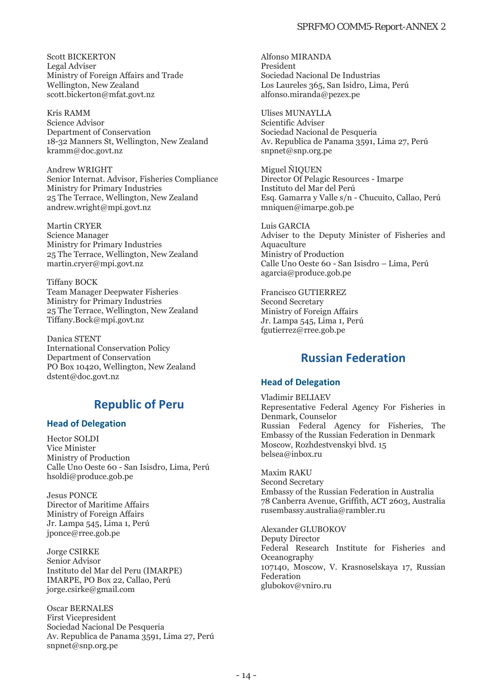Scott BICKERTON Legal Adviser Ministry of Foreign Affairs and Trade Wellington, New Zealand scott.bickerton@mfat.govt.nz

Kris RAMM Science Advisor Department of Conservation 18-32 Manners St, Wellington, New Zealand kramm@doc.govt.nz

Andrew WRIGHT Senior Internat. Advisor, Fisheries Compliance Ministry for Primary Industries 25 The Terrace, Wellington, New Zealand andrew.wright@mpi.govt.nz

Martin CRYER Science Manager Ministry for Primary Industries 25 The Terrace, Wellington, New Zealand martin.cryer@mpi.govt.nz

Tiffany BOCK Team Manager Deepwater Fisheries Ministry for Primary Industries 25 The Terrace, Wellington, New Zealand Tiffany.Bock@mpi.govt.nz

Danica STENT International Conservation Policy Department of Conservation PO Box 10420, Wellington, New Zealand dstent@doc.govt.nz

### **Republic of Peru**

#### **Head of Delegation**

Hector SOLDI Vice Minister Ministry of Production Calle Uno Oeste 60 - San Isisdro, Lima, Perú hsoldi@produce.gob.pe

Jesus PONCE Director of Maritime Affairs Ministry of Foreign Affairs Jr. Lampa 545, Lima 1, Perú jponce@rree.gob.pe

Jorge CSIRKE Senior Advisor Instituto del Mar del Peru (IMARPE) IMARPE, PO Box 22, Callao, Perú jorge.csirke@gmail.com

Oscar BERNALES First Vicepresident Sociedad Nacional De Pesqueria Av. Republica de Panama 3591, Lima 27, Perú snpnet@snp.org.pe

Alfonso MIRANDA President Sociedad Nacional De Industrias Los Laureles 365, San Isidro, Lima, Perú alfonso.miranda@pezex.pe

Ulises MUNAYLLA Scientific Adviser Sociedad Nacional de Pesqueria Av. Republica de Panama 3591, Lima 27, Perú snpnet@snp.org.pe

Miguel ÑIQUEN Director Of Pelagic Resources - Imarpe Instituto del Mar del Perú Esq. Gamarra y Valle s/n - Chucuito, Callao, Perú mniquen@imarpe.gob.pe

Luis GARCIA Adviser to the Deputy Minister of Fisheries and Aquaculture Ministry of Production Calle Uno Oeste 60 - San Isisdro – Lima, Perú agarcia@produce.gob.pe

Francisco GUTIERREZ Second Secretary Ministry of Foreign Affairs Jr. Lampa 545, Lima 1, Perú fgutierrez@rree.gob.pe

### **Russian Federation**

#### **Head of Delegation**

Vladimir BELIAEV Representative Federal Agency For Fisheries in Denmark, Counselor Russian Federal Agency for Fisheries, The Embassy of the Russian Federation in Denmark Moscow, Rozhdestvenskyi blvd. 15 belsea@inbox.ru

Maxim RAKU Second Secretary Embassy of the Russian Federation in Australia 78 Canberra Avenue, Griffith, ACT 2603, Australia rusembassy.australia@rambler.ru

Alexander GLUBOKOV Deputy Director Federal Research Institute for Fisheries and Oceanography 107140, Moscow, V. Krasnoselskaya 17, Russian Federation glubokov@vniro.ru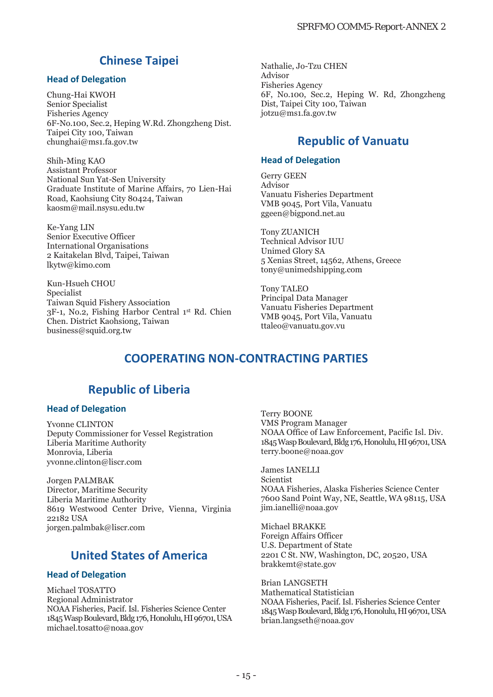# **Chinese Taipei**

#### **Head of Delegation**

Chung-Hai KWOH Senior Specialist Fisheries Agency 6F-No.100, Sec.2, Heping W.Rd. Zhongzheng Dist. Taipei City 100, Taiwan chunghai@ms1.fa.gov.tw

Shih-Ming KAO Assistant Professor National Sun Yat-Sen University Graduate Institute of Marine Affairs, 70 Lien-Hai Road, Kaohsiung City 80424, Taiwan kaosm@mail.nsysu.edu.tw

Ke-Yang LIN Senior Executive Officer International Organisations 2 Kaitakelan Blvd, Taipei, Taiwan lkytw@kimo.com

Kun-Hsueh CHOU Specialist Taiwan Squid Fishery Association 3F-1, No.2, Fishing Harbor Central 1st Rd. Chien Chen. District Kaohsiong, Taiwan business@squid.org.tw

Nathalie, Jo-Tzu CHEN Advisor Fisheries Agency 6F, No.100, Sec.2, Heping W. Rd, Zhongzheng Dist, Taipei City 100, Taiwan jotzu@ms1.fa.gov.tw

### **Republic of Vanuatu**

#### **Head of Delegation**

Gerry GEEN Advisor Vanuatu Fisheries Department VMB 9045, Port Vila, Vanuatu ggeen@bigpond.net.au

Tony ZUANICH Technical Advisor IUU Unimed Glory SA 5 Xenias Street, 14562, Athens, Greece tony@unimedshipping.com

Tony TALEO Principal Data Manager Vanuatu Fisheries Department VMB 9045, Port Vila, Vanuatu ttaleo@vanuatu.gov.vu

### **COOPERATING NON-CONTRACTING PARTIES**

# **Republic of Liberia**

#### **Head of Delegation**

Yvonne CLINTON Deputy Commissioner for Vessel Registration Liberia Maritime Authority Monrovia, Liberia yvonne.clinton@liscr.com

Jorgen PALMBAK Director, Maritime Security Liberia Maritime Authority 8619 Westwood Center Drive, Vienna, Virginia 22182 USA jorgen.palmbak@liscr.com

# **United States of America**

#### **Head of Delegation**

Michael TOSATTO Regional Administrator NOAA Fisheries, Pacif. Isl. Fisheries Science Center 1845 Wasp Boulevard, Bldg 176, Honolulu, HI 96701, USA michael.tosatto@noaa.gov

Terry BOONE VMS Program Manager NOAA Office of Law Enforcement, Pacific Isl. Div. 1845 Wasp Boulevard, Bldg 176, Honolulu, HI 96701, USA terry.boone@noaa.gov

James IANELLI Scientist NOAA Fisheries, Alaska Fisheries Science Center 7600 Sand Point Way, NE, Seattle, WA 98115, USA jim.ianelli@noaa.gov

Michael BRAKKE Foreign Affairs Officer U.S. Department of State 2201 C St. NW, Washington, DC, 20520, USA brakkemt@state.gov

Brian LANGSETH Mathematical Statistician NOAA Fisheries, Pacif. Isl. Fisheries Science Center 1845 Wasp Boulevard, Bldg 176, Honolulu, HI 96701, USA brian.langseth@noaa.gov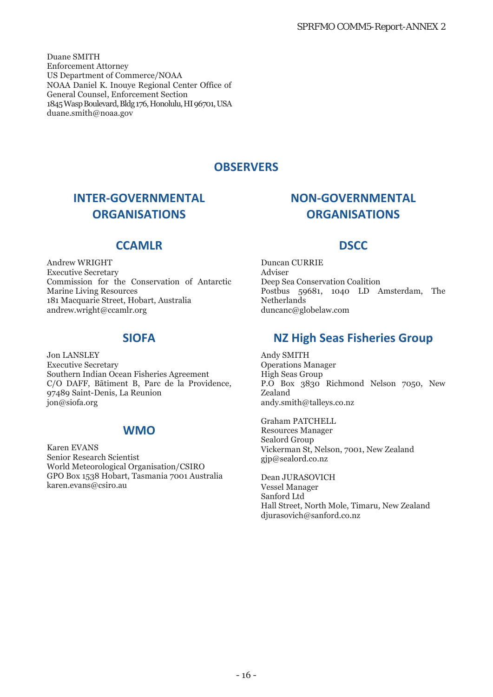Duane SMITH Enforcement Attorney US Department of Commerce/NOAA NOAA Daniel K. Inouye Regional Center Office of General Counsel, Enforcement Section 1845 Wasp Boulevard, Bldg 176, Honolulu, HI 96701, USA duane.smith@noaa.gov

### **OBSERVERS**

# **INTER-GOVERNMENTAL ORGANISATIONS**

## **CCAMLR**

Andrew WRIGHT Executive Secretary Commission for the Conservation of Antarctic Marine Living Resources 181 Macquarie Street, Hobart, Australia andrew.wright@ccamlr.org

### **SIOFA**

Jon LANSLEY Executive Secretary Southern Indian Ocean Fisheries Agreement C/O DAFF, Bãtiment B, Parc de la Providence, 97489 Saint-Denis, La Reunion jon@siofa.org

### **WMO**

Karen EVANS Senior Research Scientist World Meteorological Organisation/CSIRO GPO Box 1538 Hobart, Tasmania 7001 Australia karen.evans@csiro.au

# **NON-GOVERNMENTAL ORGANISATIONS**

### **DSCC**

Duncan CURRIE Adviser Deep Sea Conservation Coalition Postbus 59681, 1040 LD Amsterdam, The Netherlands duncanc@globelaw.com

# **NZ High Seas Fisheries Group**

Andy SMITH Operations Manager High Seas Group P.O Box 3830 Richmond Nelson 7050, New Zealand andy.smith@talleys.co.nz

Graham PATCHELL

Resources Manager Sealord Group Vickerman St, Nelson, 7001, New Zealand gjp@sealord.co.nz

Dean JURASOVICH Vessel Manager Sanford Ltd Hall Street, North Mole, Timaru, New Zealand djurasovich@sanford.co.nz